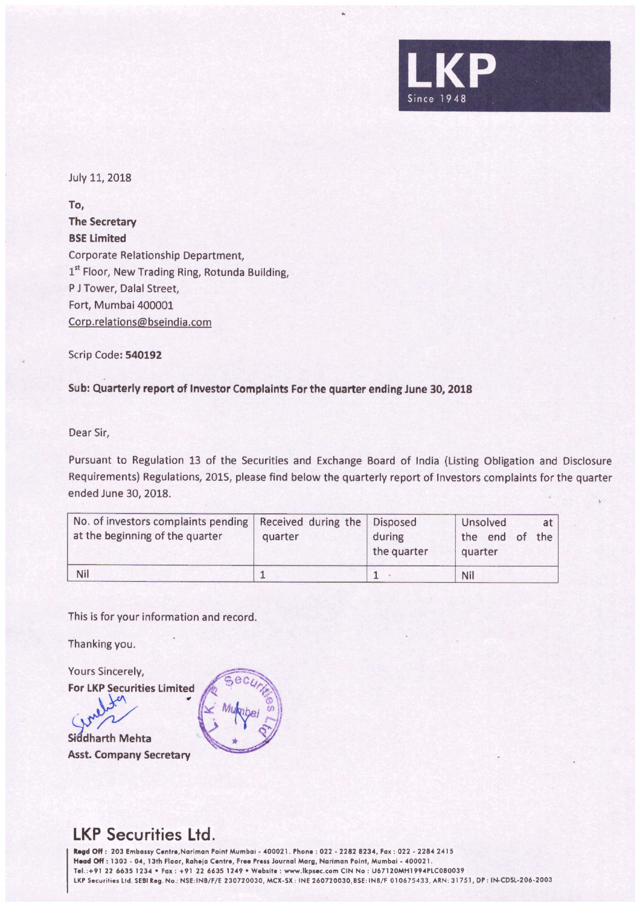

July 11, 2018

**To, The Secretary BSE Limited**  Corporate Relationship Department, 1<sup>st</sup> Floor, New Trading Ring, Rotunda Building, P J Tower, Dalal Street, Fort, Mumbai 400001 Corp.relations@bseindia.com

Scrip Code: **540192** 

## **Sub: Quarterly report of Investor Complaints For the quarter ending June 30, 2018**

Dear Sir,

Pursuant to Regulation 13 of the Securities and Exchange Board of India (Listing Obligation and Disclosure Requirements) Regulations, 2015, please find below the quarterly report of Investors complaints for the quarter ended June 30, 2018.

| No. of investors complaints pending   Received during the   Disposed<br>at the beginning of the quarter | quarter | during<br>the quarter | Unsolved<br>at<br>the end of<br>the<br>quarter |
|---------------------------------------------------------------------------------------------------------|---------|-----------------------|------------------------------------------------|
| Nil                                                                                                     |         |                       | Nil                                            |

This is for your information and record.

Thanking you.

Yours Sincerely,

**For LKP Securities Limited** 

Siddharth Mehta **Asst. Company Secretary** 



## **LKP Securities Ltd.**

**lla9d** Off : 203 Embassy Contro,Nariman Paint Mumbai • 400021 . Phone : 022 • 2282 8234, Fox : 022 - 22842415 **Head** Off : 1303 • 04, 13th Floor, Raheja Centro, Free Press Journal Marg, Narimon Point, Mumbai • 400021 . Tel. :+91 22 6635 1234 •Fax : +91 22 6635 1249 •Website : www.lkpsec.com CIN No : U67120MH1994PLC080039 LKP Securities Ltd. SEBI Reg. No.: NSE:INB/F/E 230720030, MCX-SX: INE 260720030,BSE: INB/F 010675433, ARN: 31751, DP: IN-CDSL-206-2003